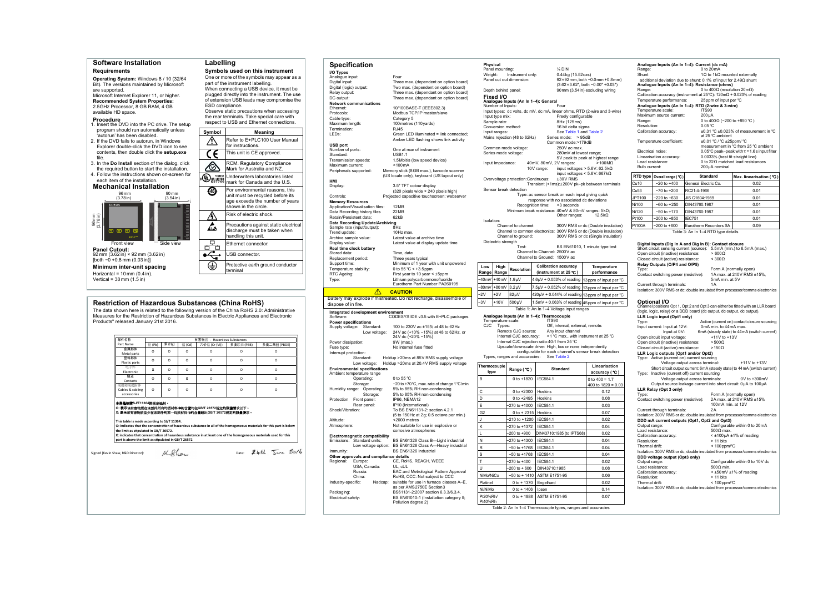<span id="page-0-0"></span>

| <b>Specification</b><br>I/O Types<br>Analogue input:<br>Digital input:                                                                                                                                                                                                                                                                                                                                                                                    |                                                                                |                      | Physical                            |                                                                        |                              |                                                          |                                                                                                            |
|-----------------------------------------------------------------------------------------------------------------------------------------------------------------------------------------------------------------------------------------------------------------------------------------------------------------------------------------------------------------------------------------------------------------------------------------------------------|--------------------------------------------------------------------------------|----------------------|-------------------------------------|------------------------------------------------------------------------|------------------------------|----------------------------------------------------------|------------------------------------------------------------------------------------------------------------|
|                                                                                                                                                                                                                                                                                                                                                                                                                                                           |                                                                                |                      | Panel mounting:                     |                                                                        |                              | $\frac{1}{4}$ DIN                                        |                                                                                                            |
|                                                                                                                                                                                                                                                                                                                                                                                                                                                           | Four                                                                           | Weight:              |                                     | Instrument only:                                                       |                              | 0.44 kg (15.52 ozs)                                      |                                                                                                            |
|                                                                                                                                                                                                                                                                                                                                                                                                                                                           | Three max. (dependent on option board)                                         |                      |                                     | Panel cut out dimension:                                               |                              |                                                          | $92 \times 92$ mm, both $-0.0$ mm $+0.8$ mm)                                                               |
| Digital (logic) output:                                                                                                                                                                                                                                                                                                                                                                                                                                   | Two max. (dependent on option board)                                           |                      | Depth behind panel:                 |                                                                        |                              |                                                          | $(3.62 \times 3.62^{\prime\prime}$ , both $-0.00^{\prime\prime}$ +0.03")<br>90mm (3.54in) excluding wiring |
| Relay output:                                                                                                                                                                                                                                                                                                                                                                                                                                             | Three max. (dependant on option board)                                         |                      | Fixed I/O                           |                                                                        |                              |                                                          |                                                                                                            |
| DC output:                                                                                                                                                                                                                                                                                                                                                                                                                                                | Three max. (dependant on option board)                                         |                      |                                     | Analogue Inputs (An In 1-4): General                                   |                              |                                                          |                                                                                                            |
| <b>Network communications</b><br>Ethernet:                                                                                                                                                                                                                                                                                                                                                                                                                | 10/100BASE-T (IEEE802.3)                                                       |                      | Number of Inputs:                   |                                                                        |                              | Four                                                     |                                                                                                            |
| Protocols:                                                                                                                                                                                                                                                                                                                                                                                                                                                | Modbus TCP/IP master/slave                                                     |                      |                                     |                                                                        |                              |                                                          | Input types: dc volts, dc mV, dc mA, linear ohms, RTD (2-wire and 3-wire)                                  |
| Cable type:                                                                                                                                                                                                                                                                                                                                                                                                                                               | Category 5                                                                     |                      | Input type mix:                     |                                                                        |                              | Freely configurable                                      |                                                                                                            |
| Maximum length:                                                                                                                                                                                                                                                                                                                                                                                                                                           | 100 metres (110 yards)                                                         |                      | Sample rate:                        |                                                                        |                              | 8Hz (125ms)                                              |                                                                                                            |
| Termination:                                                                                                                                                                                                                                                                                                                                                                                                                                              | <b>RJ45</b>                                                                    |                      | Conversion method:<br>Input ranges: |                                                                        |                              | 16 bit delta sigma<br>See Table 1 and Table 2            |                                                                                                            |
| LED <sub>s:</sub>                                                                                                                                                                                                                                                                                                                                                                                                                                         | Green LED illuminated = link connected;                                        |                      |                                     | Mains rejection (48 to 62Hz)                                           |                              | Series mode: > 95dB                                      |                                                                                                            |
|                                                                                                                                                                                                                                                                                                                                                                                                                                                           | Amber LED flashing shows link activity                                         |                      |                                     |                                                                        |                              | Common mode:>179dB                                       |                                                                                                            |
| <b>USB port</b><br>Number of ports:                                                                                                                                                                                                                                                                                                                                                                                                                       | One at rear of instrument                                                      |                      |                                     | Common mode voltage:                                                   |                              | 250V ac max.                                             |                                                                                                            |
| Standard:                                                                                                                                                                                                                                                                                                                                                                                                                                                 | <b>USB1.1</b>                                                                  |                      | Series mode voltage:                |                                                                        |                              | 280mV at lowest range;                                   |                                                                                                            |
| Transmission speeds:                                                                                                                                                                                                                                                                                                                                                                                                                                      | 1.5Mbit/s (low speed device)                                                   |                      |                                     |                                                                        |                              |                                                          | 5V peak to peak at highest range                                                                           |
| Maximum current:                                                                                                                                                                                                                                                                                                                                                                                                                                          | $<$ 100 $mA$                                                                   |                      | Input Impedance:                    |                                                                        | 40mV, 80mV, 2V ranges:       |                                                          | $>100$ M $\Omega$                                                                                          |
| Peripherals supported:                                                                                                                                                                                                                                                                                                                                                                                                                                    | Memory stick (8GB max.), barcode scanner                                       |                      |                                     |                                                                        | 10V range:                   |                                                          | input voltages > $5.6V: 62.5k\Omega$<br>input voltages < $5.6V:667k\Omega$                                 |
|                                                                                                                                                                                                                                                                                                                                                                                                                                                           | (US locale only), keyboard (US layout only)                                    |                      |                                     | Overvoltage protection: Continuous:                                    |                              | ±30V RMS                                                 |                                                                                                            |
| <b>HMI</b>                                                                                                                                                                                                                                                                                                                                                                                                                                                |                                                                                |                      |                                     |                                                                        |                              |                                                          | Transient (<1ms):±200V pk-pk between terminals                                                             |
| Display:                                                                                                                                                                                                                                                                                                                                                                                                                                                  | 3.5" TFT colour display<br>(320 pixels wide × 240 pixels high)                 |                      |                                     | Sensor break detection                                                 |                              |                                                          |                                                                                                            |
| Controls:                                                                                                                                                                                                                                                                                                                                                                                                                                                 | Projected capacitive touchscreen; webserver                                    |                      |                                     |                                                                        |                              |                                                          | Type: ac sensor break on each input giving quick                                                           |
| <b>Memory Resources</b>                                                                                                                                                                                                                                                                                                                                                                                                                                   |                                                                                |                      |                                     |                                                                        |                              | response with no associated dc deviations                |                                                                                                            |
| Application/Visualisation files:                                                                                                                                                                                                                                                                                                                                                                                                                          | 12MB                                                                           |                      |                                     |                                                                        | Recognition time:            | <3 seconds                                               |                                                                                                            |
| Data Recording history files                                                                                                                                                                                                                                                                                                                                                                                                                              | 22MB                                                                           |                      |                                     |                                                                        |                              | Other ranges:                                            | Minimum break resistance: 40mV & 80mV ranges: 5kΩ;<br>12.5 $k\Omega$                                       |
| Retain/Persistent data:                                                                                                                                                                                                                                                                                                                                                                                                                                   | 62kB                                                                           | Isolation:           |                                     |                                                                        |                              |                                                          |                                                                                                            |
| Data Recording Update/Archiving<br>Sample rate (input/output):                                                                                                                                                                                                                                                                                                                                                                                            | 8Hz                                                                            |                      |                                     | Channel to channel:                                                    |                              |                                                          | 300V RMS or dc (Double insulation)                                                                         |
| Trend update:                                                                                                                                                                                                                                                                                                                                                                                                                                             | 10Hz max.                                                                      |                      |                                     |                                                                        |                              |                                                          | Channel to common electronics: 300V RMS or dc (Double insulation)                                          |
| Archive sample value:                                                                                                                                                                                                                                                                                                                                                                                                                                     | Latest value at archive time                                                   |                      |                                     | Channel to ground:                                                     |                              |                                                          | 300V RMS or dc (Single insulation)                                                                         |
| Display value:                                                                                                                                                                                                                                                                                                                                                                                                                                            | Latest value at display update time                                            |                      | Dielectric strength                 |                                                                        |                              |                                                          |                                                                                                            |
| Real time clock battery                                                                                                                                                                                                                                                                                                                                                                                                                                   |                                                                                |                      |                                     | Test:                                                                  | Channel to Channel: 2500V ac |                                                          | BS EN61010, 1 minute type test                                                                             |
| Stored data:                                                                                                                                                                                                                                                                                                                                                                                                                                              | Time, date                                                                     |                      |                                     |                                                                        | Channel to Ground: 1500V ac  |                                                          |                                                                                                            |
| Replacement period:<br>Support time:                                                                                                                                                                                                                                                                                                                                                                                                                      | Three years typical<br>Minimum of 1 year with unit unpowered                   |                      |                                     |                                                                        |                              |                                                          |                                                                                                            |
| Temperature stability:                                                                                                                                                                                                                                                                                                                                                                                                                                    | 0 to 55 $°C$ < +3.5 ppm                                                        | Low                  | High                                | Resolution                                                             |                              | <b>Calibration accuracy</b>                              | <b>Temperature</b>                                                                                         |
| RTC Ageing:                                                                                                                                                                                                                                                                                                                                                                                                                                               | First year to 10 year < ±5ppm                                                  | Range                | Range                               |                                                                        |                              | (instrument at 25 °C)                                    | performance                                                                                                |
| Type:                                                                                                                                                                                                                                                                                                                                                                                                                                                     | Lithium polycarbonmonofluoride                                                 | $-40mV$              | +40mV                               | 1.9 <sub>µ</sub> V                                                     |                              | $4.6\mu$ V + 0.053% of reading                           | 13 ppm of input per °C                                                                                     |
|                                                                                                                                                                                                                                                                                                                                                                                                                                                           | Eurotherm Part Number PA260195                                                 | -80mV                | +80mV                               | $3.2 \mu V$                                                            |                              | $7.5 \mu V + 0.052\%$ of reading                         | 13 ppm of input per °C                                                                                     |
| ∧                                                                                                                                                                                                                                                                                                                                                                                                                                                         | <b>CAUTION</b>                                                                 | $-2V$                | +2V                                 | 82µV                                                                   |                              | $420 \mu V + 0.044\%$ of reading                         |                                                                                                            |
|                                                                                                                                                                                                                                                                                                                                                                                                                                                           | Battery may explode if mistreated. Do not recharge, disassemble or             |                      |                                     |                                                                        |                              |                                                          | 13 ppm of input per °C                                                                                     |
| dispose of in fire.                                                                                                                                                                                                                                                                                                                                                                                                                                       |                                                                                | 3V                   | $+10V$                              | 500µV                                                                  |                              |                                                          | 1.5mV + 0.063% of reading 45 ppm of input per °C                                                           |
| Integrated development environment                                                                                                                                                                                                                                                                                                                                                                                                                        |                                                                                |                      |                                     |                                                                        |                              |                                                          |                                                                                                            |
|                                                                                                                                                                                                                                                                                                                                                                                                                                                           |                                                                                |                      |                                     |                                                                        |                              | Table 1: An In 1-4 Voltage input ranges                  |                                                                                                            |
|                                                                                                                                                                                                                                                                                                                                                                                                                                                           | CODESYS IDE v3.5 with E+PLC packages                                           |                      |                                     | Analogue Inputs (An In 1-4): Thermocouple                              |                              |                                                          |                                                                                                            |
|                                                                                                                                                                                                                                                                                                                                                                                                                                                           |                                                                                |                      | Temperature scale:                  |                                                                        | ITS90                        |                                                          |                                                                                                            |
| Standard:                                                                                                                                                                                                                                                                                                                                                                                                                                                 | 100 to 230V ac ±15% at 48 to 62Hz                                              | <b>CJC</b>           | Types:                              |                                                                        |                              | Off, internal, external, remote.                         |                                                                                                            |
| Low voltage:                                                                                                                                                                                                                                                                                                                                                                                                                                              | 24V ac (+10% -15%) at 48 to 62Hz, or                                           |                      |                                     | Remote CJC source:                                                     |                              | Any input channel                                        |                                                                                                            |
|                                                                                                                                                                                                                                                                                                                                                                                                                                                           | 24V dc (+20% -15%)                                                             |                      |                                     | Internal CJC accuracy:<br>Internal CJC rejection ratio:40:1 from 25 °C |                              |                                                          | <1 °C max., with instrument at 25 °C                                                                       |
|                                                                                                                                                                                                                                                                                                                                                                                                                                                           | 9W (max.)<br>No internal fuse fitted                                           |                      |                                     |                                                                        |                              | Upscale/downscale drive: High, low or none independently |                                                                                                            |
|                                                                                                                                                                                                                                                                                                                                                                                                                                                           |                                                                                |                      |                                     |                                                                        |                              |                                                          | configurable for each channel's sensor break detection                                                     |
| Standard:                                                                                                                                                                                                                                                                                                                                                                                                                                                 | Holdup > 20ms at 85V RMS supply voltage                                        |                      |                                     | Types, ranges and accuracies:                                          |                              | See Table 2                                              |                                                                                                            |
| Low voltage:                                                                                                                                                                                                                                                                                                                                                                                                                                              | Holdup > 20 ms at 20.4 V RMS supply voltage                                    |                      |                                     |                                                                        |                              |                                                          |                                                                                                            |
|                                                                                                                                                                                                                                                                                                                                                                                                                                                           |                                                                                | Thermocouple<br>type |                                     | Range (°C)                                                             |                              | <b>Standard</b>                                          | Linearisation                                                                                              |
|                                                                                                                                                                                                                                                                                                                                                                                                                                                           |                                                                                |                      |                                     |                                                                        |                              |                                                          | accuracy (℃)                                                                                               |
| Operating:                                                                                                                                                                                                                                                                                                                                                                                                                                                | 0 to 55 °C                                                                     | B                    |                                     | 0 to $+1820$                                                           | IEC584.1                     |                                                          | 0 to $400 = 1.7$                                                                                           |
| Storage:                                                                                                                                                                                                                                                                                                                                                                                                                                                  | -20 to +70°C, max. rate of change 1°C/min<br>5% to 85% RH non-condensing       |                      |                                     |                                                                        |                              |                                                          | 400 to $1820 = 0.03$                                                                                       |
| Storage:                                                                                                                                                                                                                                                                                                                                                                                                                                                  | 5% to 85% RH non-condensing                                                    | С                    |                                     | 0 to +2300                                                             | Hoskins                      |                                                          | 0.12                                                                                                       |
|                                                                                                                                                                                                                                                                                                                                                                                                                                                           | IP66, NEMA12                                                                   | D                    |                                     | 0 to +2495                                                             | Hoskins                      |                                                          | 0.08                                                                                                       |
| Rear panel:                                                                                                                                                                                                                                                                                                                                                                                                                                               | IP10 (International)                                                           | E                    |                                     | $-270$ to $+1000$                                                      | IEC584.1                     |                                                          | 0.03                                                                                                       |
|                                                                                                                                                                                                                                                                                                                                                                                                                                                           | To BS EN61131-2: section 4.2.1                                                 | G <sub>2</sub>       |                                     | $0 to + 2315$                                                          | Hoskins                      |                                                          | 0.07                                                                                                       |
|                                                                                                                                                                                                                                                                                                                                                                                                                                                           | (5 to 150Hz at 2g; 0.5 octave per min.)                                        | J                    |                                     |                                                                        |                              |                                                          |                                                                                                            |
|                                                                                                                                                                                                                                                                                                                                                                                                                                                           | <2000 metres<br>Not suitable for use in explosive or                           |                      |                                     | -210 to +1200                                                          | IEC584.1                     |                                                          | 0.02                                                                                                       |
|                                                                                                                                                                                                                                                                                                                                                                                                                                                           | corrosive atmospheres                                                          | Κ                    |                                     | -270 to +1372                                                          | IEC584.1                     |                                                          | 0.04                                                                                                       |
|                                                                                                                                                                                                                                                                                                                                                                                                                                                           |                                                                                | L                    |                                     | $-200$ to $+900$                                                       |                              | DIN43710:1985 (to IPTS68)                                | 0.02                                                                                                       |
|                                                                                                                                                                                                                                                                                                                                                                                                                                                           | BS EN61326 Class B-Light industrial                                            | N                    |                                     | -270 to +1300                                                          | IEC584.1                     |                                                          | 0.04                                                                                                       |
|                                                                                                                                                                                                                                                                                                                                                                                                                                                           | Low voltage option: BS EN61326 Class A-Heavy industrial                        | R                    |                                     | $-50$ to $+1768$                                                       | IEC584.1                     |                                                          | 0.04                                                                                                       |
|                                                                                                                                                                                                                                                                                                                                                                                                                                                           | BS EN61326 Industrial                                                          | S                    |                                     | $-50$ to $+1768$                                                       | IEC584.1                     |                                                          | 0.04                                                                                                       |
|                                                                                                                                                                                                                                                                                                                                                                                                                                                           |                                                                                |                      |                                     |                                                                        |                              |                                                          |                                                                                                            |
| Europe:<br>USA, Canada:                                                                                                                                                                                                                                                                                                                                                                                                                                   | CE, RoHS, REACH, WEEE<br>UL, cUL                                               | T                    |                                     | $-270$ to $+400$                                                       | IEC584.1                     |                                                          | 0.02                                                                                                       |
| Russia:                                                                                                                                                                                                                                                                                                                                                                                                                                                   | EAC and Metrological Pattern Approval                                          | U                    |                                     | -200 to + 600                                                          | DIN43710:1985                |                                                          | 0.08                                                                                                       |
| Software:<br><b>Power specifications</b><br>Supply voltage:<br>Power dissipation:<br>Fuse type:<br>Interrupt protection:<br><b>Environmental specifications</b><br>Ambient temperature range<br>Humidity range: Operating:<br>Protection Front panel:<br>Shock/Vibration:<br>Altitude:<br>Atmosphere:<br><b>Electromagnetic compatibility</b><br>Emissions: Standard units:<br>Immunity:<br>Other approvals and compliance details<br>Regional:<br>China: | RoHS, CCC: Not subject to CCC                                                  | NiMo/NiCo            |                                     | $-50$ to $+1410$                                                       | ASTM E1751-95                |                                                          | 0.06                                                                                                       |
| Industry-specific:<br>Nadcap:                                                                                                                                                                                                                                                                                                                                                                                                                             | suitable for use in furnace classes A-E,                                       | Platinel             |                                     | $0 to + 1370$                                                          | Engelhard                    |                                                          | 0.02                                                                                                       |
|                                                                                                                                                                                                                                                                                                                                                                                                                                                           | as per AMS2750E Section3                                                       | Ni/NiMo              |                                     | $0 to + 1406$                                                          | Ipsen                        |                                                          | 0.14                                                                                                       |
| Packaging:<br>Electrical safety:                                                                                                                                                                                                                                                                                                                                                                                                                          | BS61131-2:2007 section 6.3.3/6.3.4.<br>BS EN61010-1 (Installation category II; | Pt20%Rh/             |                                     | $0 to + 1888$                                                          | ASTM E1751-95                |                                                          | 0.07                                                                                                       |

| Range:<br>Shunt                   | Analogue Inputs (An In 1-4): Current (dc mA)                                                                                                                                                                                                                                                                                                                                                                                                                                                                                      | 0 to 20 mA                                                          |                                                                                                 | 1 $\Omega$ to 1 k $\Omega$ mounted externally                                                                                                                                                                                                                                                                                                                                                                                                                                                              |
|-----------------------------------|-----------------------------------------------------------------------------------------------------------------------------------------------------------------------------------------------------------------------------------------------------------------------------------------------------------------------------------------------------------------------------------------------------------------------------------------------------------------------------------------------------------------------------------|---------------------------------------------------------------------|-------------------------------------------------------------------------------------------------|------------------------------------------------------------------------------------------------------------------------------------------------------------------------------------------------------------------------------------------------------------------------------------------------------------------------------------------------------------------------------------------------------------------------------------------------------------------------------------------------------------|
|                                   | additional deviation due to shunt: 0.1% of input for $2.49\Omega$ shunt<br>Analogue Inputs (An In 1-4): Resistance (ohms)                                                                                                                                                                                                                                                                                                                                                                                                         |                                                                     |                                                                                                 |                                                                                                                                                                                                                                                                                                                                                                                                                                                                                                            |
| Range:                            |                                                                                                                                                                                                                                                                                                                                                                                                                                                                                                                                   |                                                                     | 0 to 400 $\Omega$ (resolution 20m $\Omega$ )                                                    |                                                                                                                                                                                                                                                                                                                                                                                                                                                                                                            |
|                                   | Temperature performance:                                                                                                                                                                                                                                                                                                                                                                                                                                                                                                          |                                                                     | 25 ppm of input per °C                                                                          | Calibration accuracy (instrument at $25^{\circ}$ C): 120m $\Omega$ + 0.023% of reading                                                                                                                                                                                                                                                                                                                                                                                                                     |
|                                   | Analogue Inputs (An In 1-4): RTD (2-wire & 3-wire)<br>Temperature scale:                                                                                                                                                                                                                                                                                                                                                                                                                                                          | ITS90                                                               |                                                                                                 |                                                                                                                                                                                                                                                                                                                                                                                                                                                                                                            |
|                                   | Maximum source current:                                                                                                                                                                                                                                                                                                                                                                                                                                                                                                           | $200\mu A$                                                          |                                                                                                 |                                                                                                                                                                                                                                                                                                                                                                                                                                                                                                            |
| Range:<br>Resolution:             |                                                                                                                                                                                                                                                                                                                                                                                                                                                                                                                                   | 0.05 °C                                                             |                                                                                                 | 0 to 400 $\Omega$ (-200 to +850 °C)                                                                                                                                                                                                                                                                                                                                                                                                                                                                        |
|                                   | Calibration accuracy:                                                                                                                                                                                                                                                                                                                                                                                                                                                                                                             |                                                                     |                                                                                                 | ±0.31 °C ±0.023% of measurement in °C                                                                                                                                                                                                                                                                                                                                                                                                                                                                      |
|                                   | Temperature coefficient:                                                                                                                                                                                                                                                                                                                                                                                                                                                                                                          |                                                                     | at 25 °C ambient<br>±0.01 °C / °C ±25ppm/ °C                                                    | measurement in °C from 25 °C ambient                                                                                                                                                                                                                                                                                                                                                                                                                                                                       |
| Electrical noise:                 |                                                                                                                                                                                                                                                                                                                                                                                                                                                                                                                                   |                                                                     |                                                                                                 | 0.05°C peak-peak with $\tau$ = 1.6s input filter                                                                                                                                                                                                                                                                                                                                                                                                                                                           |
| Lead resistance:                  | Linearisation accuracy:                                                                                                                                                                                                                                                                                                                                                                                                                                                                                                           |                                                                     |                                                                                                 | 0.0033% (best fit straight line)<br>0 to 22 $\Omega$ matched lead resistances                                                                                                                                                                                                                                                                                                                                                                                                                              |
| Bulb current:                     |                                                                                                                                                                                                                                                                                                                                                                                                                                                                                                                                   |                                                                     | 200µA nominal                                                                                   |                                                                                                                                                                                                                                                                                                                                                                                                                                                                                                            |
| <b>RTD type</b>                   | Overall range (°C)                                                                                                                                                                                                                                                                                                                                                                                                                                                                                                                | <b>Standard</b>                                                     |                                                                                                 | Max. linearisation ( °C)                                                                                                                                                                                                                                                                                                                                                                                                                                                                                   |
| Cu10                              | -20 to +400                                                                                                                                                                                                                                                                                                                                                                                                                                                                                                                       | General Electric Co.                                                |                                                                                                 | 0.02                                                                                                                                                                                                                                                                                                                                                                                                                                                                                                       |
| Cu53                              | -70 to +200                                                                                                                                                                                                                                                                                                                                                                                                                                                                                                                       | RC21-4-1966                                                         |                                                                                                 | 0.01                                                                                                                                                                                                                                                                                                                                                                                                                                                                                                       |
| JPT100                            | $220$ to $+630$                                                                                                                                                                                                                                                                                                                                                                                                                                                                                                                   | JIS C1604:1989                                                      |                                                                                                 | 0.01                                                                                                                                                                                                                                                                                                                                                                                                                                                                                                       |
| Ni100                             | $-60$ to $+250$                                                                                                                                                                                                                                                                                                                                                                                                                                                                                                                   | DIN43760:1987                                                       |                                                                                                 | 0.01                                                                                                                                                                                                                                                                                                                                                                                                                                                                                                       |
| Ni120<br>Pt100                    | $-50$ to $+170$<br>$200$ to $+850$                                                                                                                                                                                                                                                                                                                                                                                                                                                                                                | DIN43760:1987<br><b>IEC751</b>                                      |                                                                                                 | 0.01<br>0.01                                                                                                                                                                                                                                                                                                                                                                                                                                                                                               |
| Pt100A                            | $200$ to $+600$                                                                                                                                                                                                                                                                                                                                                                                                                                                                                                                   | Eurotherm Recorders SA                                              |                                                                                                 | 0.09                                                                                                                                                                                                                                                                                                                                                                                                                                                                                                       |
|                                   |                                                                                                                                                                                                                                                                                                                                                                                                                                                                                                                                   | Table 3: An In 1-4 RTD type details                                 |                                                                                                 |                                                                                                                                                                                                                                                                                                                                                                                                                                                                                                            |
| Type:<br>Type:                    | Relay Outputs (O/P4 and O/P5)<br>Contact switching power (resistive):<br>Current through terminals:<br>Optional I/O<br>(logic, logic, relay) or a DDD board (dc output, dc output, dc output).<br>LLR Logic input (Opt1 only)<br>Input current: Input at 12V:<br>Input at 0V:<br>Open circuit input voltage:<br>Open circuit (inactive) resistance:<br>Closed circuit (active) resistance:<br>LLR Logic outputs (Opt1 and/or Opt2)<br>Type: Active (current on) current sourcing<br>Type: Inactive (current off) current sourcing | Voltage output across terminal:<br>Voltage output across terminals: | 5mA min. at 5V<br>1 A<br>0mA min. to 44mA max.<br>+11V to +13V<br>$> 500\Omega$<br>$>150\Omega$ | Form A (normally open)<br>1A max. at 240V RMS ±15%,<br>Isolation: 300V RMS or dc; double insulated from processor/comms electronics<br>Channel positions Opt 1, Opt 2 and Opt 3 can either be fitted with an LLR board<br>Active (current on) contact closure sourcing<br>6mA (steady state) to 44mA (switch current)<br>$+11V$ to $+13V$<br>Short circuit output current: 6 mA (steady state) to 44 mA (switch current)<br>0V to +300mV<br>Output source leakage current into short circuit: 0uA to 100uA |
| Type:                             | LLR Relay (Opt 3 only)                                                                                                                                                                                                                                                                                                                                                                                                                                                                                                            |                                                                     |                                                                                                 | Form A (normally open)                                                                                                                                                                                                                                                                                                                                                                                                                                                                                     |
|                                   | Contact switching power (resistive):<br>Current through terminals:                                                                                                                                                                                                                                                                                                                                                                                                                                                                |                                                                     | 100mA min. at 12V<br>2A                                                                         | 2A max. at 240V RMS ±15%                                                                                                                                                                                                                                                                                                                                                                                                                                                                                   |
| Output range:                     | DDD mA current outputs (Opt1, Opt2 and Opt3)                                                                                                                                                                                                                                                                                                                                                                                                                                                                                      |                                                                     |                                                                                                 | Isolation: 300V RMS or dc; double insulated from processor/comms electronics<br>Configurable within 0 to 20mA                                                                                                                                                                                                                                                                                                                                                                                              |
| Load resistance:                  |                                                                                                                                                                                                                                                                                                                                                                                                                                                                                                                                   |                                                                     | $500\Omega$ max.                                                                                |                                                                                                                                                                                                                                                                                                                                                                                                                                                                                                            |
| Resolution:                       | Calibration accuracy:                                                                                                                                                                                                                                                                                                                                                                                                                                                                                                             |                                                                     | $> 11$ bits                                                                                     | < ±100 µA ±1% of reading                                                                                                                                                                                                                                                                                                                                                                                                                                                                                   |
| Thermal drift:                    |                                                                                                                                                                                                                                                                                                                                                                                                                                                                                                                                   |                                                                     | $< 100$ ppm/°C                                                                                  |                                                                                                                                                                                                                                                                                                                                                                                                                                                                                                            |
|                                   | DDD voltage output (Opt3 only)                                                                                                                                                                                                                                                                                                                                                                                                                                                                                                    |                                                                     |                                                                                                 | Isolation: 300V RMS or dc; double insulated from processor/comms electronics                                                                                                                                                                                                                                                                                                                                                                                                                               |
| Output range:<br>Load resistance: |                                                                                                                                                                                                                                                                                                                                                                                                                                                                                                                                   |                                                                     | $500\Omega$ min.                                                                                | Configurable within 0 to 10V dc                                                                                                                                                                                                                                                                                                                                                                                                                                                                            |
|                                   | Calibration accuracy:                                                                                                                                                                                                                                                                                                                                                                                                                                                                                                             |                                                                     |                                                                                                 | < ±50mV ±1% of reading                                                                                                                                                                                                                                                                                                                                                                                                                                                                                     |
| Resolution:                       |                                                                                                                                                                                                                                                                                                                                                                                                                                                                                                                                   |                                                                     | > 11 bits                                                                                       |                                                                                                                                                                                                                                                                                                                                                                                                                                                                                                            |
| Thermal drift:                    |                                                                                                                                                                                                                                                                                                                                                                                                                                                                                                                                   |                                                                     | $< 100$ ppm/°C                                                                                  | Isolation: 300V RMS or dc; double insulated from processor/comms electronics                                                                                                                                                                                                                                                                                                                                                                                                                               |
|                                   |                                                                                                                                                                                                                                                                                                                                                                                                                                                                                                                                   |                                                                     |                                                                                                 |                                                                                                                                                                                                                                                                                                                                                                                                                                                                                                            |



<span id="page-0-1"></span>

| 部件名称                                                                                          | 有害物质 - Hazardous Substances |          |          |               |            |                                                                                                                   |
|-----------------------------------------------------------------------------------------------|-----------------------------|----------|----------|---------------|------------|-------------------------------------------------------------------------------------------------------------------|
| Part Name                                                                                     | 铅(Pb)                       | 汞 (Hg)   | 镉(Cd)    | 六价铬 (Cr (VI)) | 多溴联苯 (PBB) | 多溴二苯醚 (PBDE)                                                                                                      |
| 金属部件<br>Metal parts                                                                           | $\Omega$                    | $\Omega$ | O        | $\Omega$      | $\circ$    | $\circ$                                                                                                           |
| 塑料部件<br>Plastic parts                                                                         | $\Omega$                    | $\Omega$ | $\Omega$ | $\Omega$      | $\Omega$   | $\circ$                                                                                                           |
| 电子件<br>Electronic                                                                             | x                           | $\circ$  | O        | $\circ$       | O          | $\circ$                                                                                                           |
| 触点<br>Contacts                                                                                | O                           | O        | x        | $\circ$       | O          | $\circ$                                                                                                           |
| 线缆和线缆附件<br>Cables & cabling<br>accessories                                                    | $\Omega$                    | $\Omega$ | $\Omega$ | $\Omega$      | $\Omega$   | $\Omega$                                                                                                          |
| the limit as stipulated in GB/T 26572.<br>part is above the limit as stipulated in GB/T 26572 |                             |          |          |               |            | X: indicates that concentration of hazardous substance in at least one of the homogeneous materials used for this |
| Signed (Kevin Shaw, R&D Director):                                                            |                             | KShow    |          |               |            | Date: 24th June 2016                                                                                              |
|                                                                                               |                             |          |          |               |            |                                                                                                                   |
|                                                                                               |                             |          |          |               |            |                                                                                                                   |
|                                                                                               |                             |          |          |               |            |                                                                                                                   |
|                                                                                               |                             |          |          |               |            |                                                                                                                   |